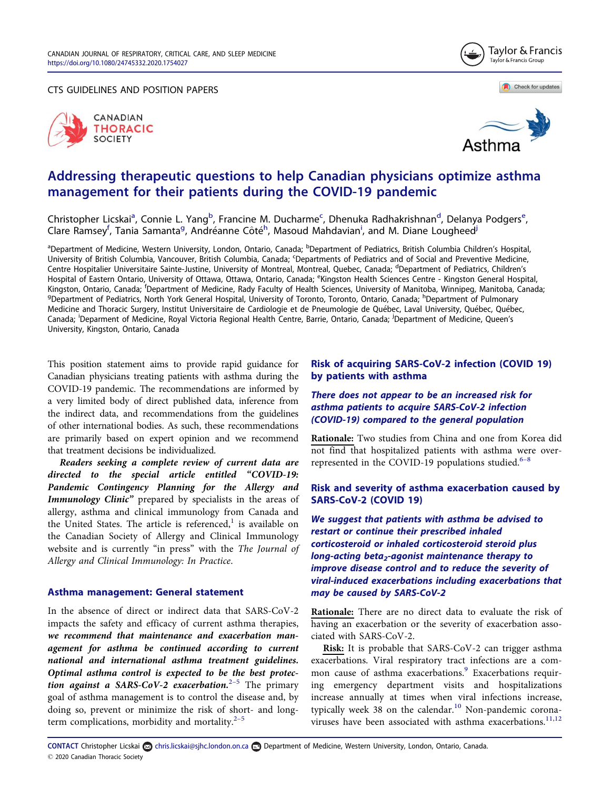<span id="page-0-0"></span>CTS GUIDELINES AND POSITION PAPERS



Check for updates





# Addressing therapeutic questions to help Canadian physicians optimize asthma management for their patients during the COVID-19 pandemic

Christopher Licskai<sup>a</sup>, Connie L. Yang<sup>b</sup>, Francine M. Ducharme<sup>c</sup>, Dhenuka Radhakrishnan<sup>d</sup>, Delanya Podgers<sup>e</sup>, Clare Ramsey<sup>f</sup>, Tania Samanta<sup>g</sup>, Andréanne Côté<sup>h</sup>, Masoud Mahdavian<sup>i</sup>, and M. Diane Lougheed<sup>j</sup>

<sup>a</sup>Department of Medicine, Western University, London, Ontario, Canada; <sup>b</sup>Department of Pediatrics, British Columbia Children's Hospital, University of British Columbia, Vancouver, British Columbia, Canada; <sup>c</sup>Departments of Pediatrics and of Social and Preventive Medicine, Centre Hospitalier Universitaire Sainte-Justine, University of Montreal, Montreal, Quebec, Canada; <sup>d</sup>Department of Pediatrics, Children's Hospital of Eastern Ontario, University of Ottawa, Ottawa, Ontario, Canada; <sup>e</sup>Kingston Health Sciences Centre - Kingston General Hospital, Kingston, Ontario, Canada; <sup>f</sup>Department of Medicine, Rady Faculty of Health Sciences, University of Manitoba, Winnipeg, Manitoba, Canada;<br><sup>9</sup>Department of Pediatrics, North York General Hespital, University of Terento, Te Department of Pediatrics, North York General Hospital, University of Toronto, Toronto, Ontario, Canada; <sup>h</sup>Department of Pulmonary Medicine and Thoracic Surgery, Institut Universitaire de Cardiologie et de Pneumologie de Quebec, Laval University, Quebec, Quebec, Canada; <sup>i</sup>Deparment of Medicine, Royal Victoria Regional Health Centre, Barrie, Ontario, Canada; <sup>j</sup>Department of Medicine, Queen's University, Kingston, Ontario, Canada

This position statement aims to provide rapid guidance for Canadian physicians treating patients with asthma during the COVID-19 pandemic. The recommendations are informed by a very limited body of direct published data, inference from the indirect data, and recommendations from the guidelines of other international bodies. As such, these recommendations are primarily based on expert opinion and we recommend that treatment decisions be individualized.

Readers seeking a complete review of current data are directed to the special article entitled "COVID-19: Pandemic Contingency Planning for the Allergy and Immunology Clinic" prepared by specialists in the areas of allergy, asthma and clinical immunology from Canada and the United States. The article is referenced, $\frac{1}{1}$  is available on the Canadian Society of Allergy and Clinical Immunology website and is currently "in press" with the The Journal of Allergy and Clinical Immunology: In Practice.

## Asthma management: General statement

In the absence of direct or indirect data that SARS-CoV-2 impacts the safety and efficacy of current asthma therapies, we recommend that maintenance and exacerbation management for asthma be continued according to current national and international asthma treatment guidelines. Optimal asthma control is expected to be the best protec-tion against a SARS-CoV-[2](#page-2-0) exacerbation.<sup>2-5</sup> The primary goal of asthma management is to control the disease and, by doing so, prevent or minimize the risk of short- and longterm complications, morbidity and mortality. $2-5$  $2-5$ 

# Risk of acquiring SARS-CoV-2 infection (COVID 19) by patients with asthma

# There does not appear to be an increased risk for asthma patients to acquire SARS-CoV-2 infection (COVID-19) compared to the general population

Rationale: Two studies from China and one from Korea did not find that hospitalized patients with asthma were overrepresented in the COVID-19 populations studied. $6-8$  $6-8$ 

# Risk and severity of asthma exacerbation caused by SARS-CoV-2 (COVID 19)

We suggest that patients with asthma be advised to restart or continue their prescribed inhaled corticosteroid or inhaled corticosteroid steroid plus long-acting beta<sub>2</sub>-agonist maintenance therapy to improve disease control and to reduce the severity of viral-induced exacerbations including exacerbations that may be caused by SARS-CoV-2

Rationale: There are no direct data to evaluate the risk of having an exacerbation or the severity of exacerbation associated with SARS-CoV-2.

Risk: It is probable that SARS-CoV-2 can trigger asthma exacerbations. Viral respiratory tract infections are a com-mon cause of asthma exacerbations.<sup>[9](#page-2-0)</sup> Exacerbations requiring emergency department visits and hospitalizations increase annually at times when viral infections increase, typically week  $38$  on the calendar.<sup>[10](#page-2-0)</sup> Non-pandemic coronaviruses have been associated with asthma exacerbations.<sup>11,12</sup>

CONTACT Christopher Licskai a chris.licskai@sjhc.london.on.ca Department of Medicine, Western University, London, Ontario, Canada. 2020 Canadian Thoracic Society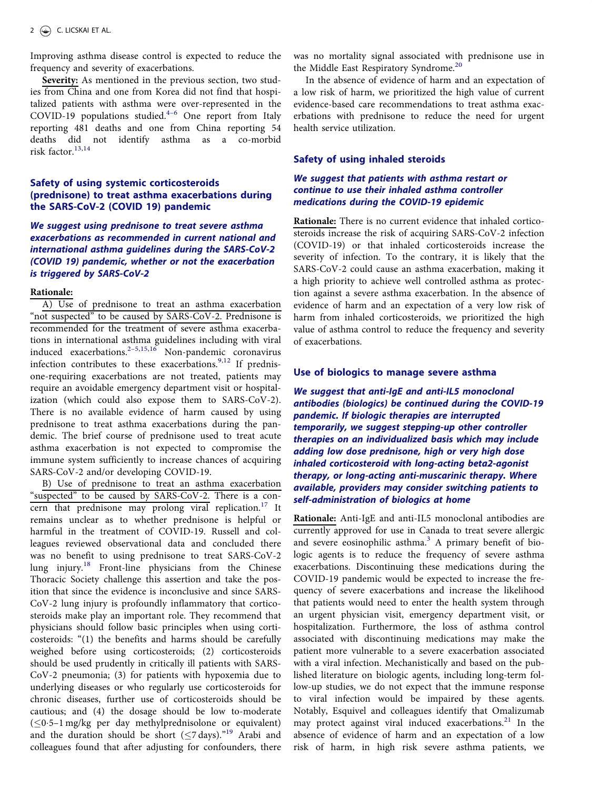<span id="page-1-0"></span>Improving asthma disease control is expected to reduce the frequency and severity of exacerbations.

Severity: As mentioned in the previous section, two studies from China and one from Korea did not find that hospitalized patients with asthma were over-represented in the COVID-19 populations studied. $4-6$  $4-6$  One report from Italy reporting 481 deaths and one from China reporting 54 deaths did not identify asthma as a co-morbid risk factor[.13,14](#page-2-0)

## Safety of using systemic corticosteroids (prednisone) to treat asthma exacerbations during the SARS-CoV-2 (COVID 19) pandemic

We suggest using prednisone to treat severe asthma exacerbations as recommended in current national and international asthma guidelines during the SARS-CoV-2 (COVID 19) pandemic, whether or not the exacerbation is triggered by SARS-CoV-2

#### Rationale:

A) Use of prednisone to treat an asthma exacerbation "not suspected" to be caused by SARS-CoV-2. Prednisone is recommended for the treatment of severe asthma exacerbations in international asthma guidelines including with viral induced exacerbations.[2](#page-2-0)–5,[15](#page-3-0),[16](#page-3-0) Non-pandemic coronavirus infection contributes to these exacerbations.<sup>[9,12](#page-2-0)</sup> If prednisone-requiring exacerbations are not treated, patients may require an avoidable emergency department visit or hospitalization (which could also expose them to SARS-CoV-2). There is no available evidence of harm caused by using prednisone to treat asthma exacerbations during the pandemic. The brief course of prednisone used to treat acute asthma exacerbation is not expected to compromise the immune system sufficiently to increase chances of acquiring SARS-CoV-2 and/or developing COVID-19.

B) Use of prednisone to treat an asthma exacerbation "suspected" to be caused by SARS-CoV-2. There is a con-cern that prednisone may prolong viral replication.<sup>[17](#page-3-0)</sup> It remains unclear as to whether prednisone is helpful or harmful in the treatment of COVID-19. Russell and colleagues reviewed observational data and concluded there was no benefit to using prednisone to treat SARS-CoV-2 lung injury.<sup>[18](#page-3-0)</sup> Front-line physicians from the Chinese Thoracic Society challenge this assertion and take the position that since the evidence is inconclusive and since SARS-CoV-2 lung injury is profoundly inflammatory that corticosteroids make play an important role. They recommend that physicians should follow basic principles when using corticosteroids: "(1) the benefits and harms should be carefully weighed before using corticosteroids; (2) corticosteroids should be used prudently in critically ill patients with SARS-CoV-2 pneumonia; (3) for patients with hypoxemia due to underlying diseases or who regularly use corticosteroids for chronic diseases, further use of corticosteroids should be cautious; and (4) the dosage should be low to-moderate  $(\leq 0.5-1$  mg/kg per day methylprednisolone or equivalent) and the duration should be short  $(\leq 7 \text{ days})$ .<sup>"[19](#page-3-0)</sup> Arabi and colleagues found that after adjusting for confounders, there was no mortality signal associated with prednisone use in the Middle East Respiratory Syndrome.<sup>20</sup>

In the absence of evidence of harm and an expectation of a low risk of harm, we prioritized the high value of current evidence-based care recommendations to treat asthma exacerbations with prednisone to reduce the need for urgent health service utilization.

#### Safety of using inhaled steroids

## We suggest that patients with asthma restart or continue to use their inhaled asthma controller medications during the COVID-19 epidemic

Rationale: There is no current evidence that inhaled corticosteroids increase the risk of acquiring SARS-CoV-2 infection (COVID-19) or that inhaled corticosteroids increase the severity of infection. To the contrary, it is likely that the SARS-CoV-2 could cause an asthma exacerbation, making it a high priority to achieve well controlled asthma as protection against a severe asthma exacerbation. In the absence of evidence of harm and an expectation of a very low risk of harm from inhaled corticosteroids, we prioritized the high value of asthma control to reduce the frequency and severity of exacerbations.

# Use of biologics to manage severe asthma

We suggest that anti-IgE and anti-IL5 monoclonal antibodies (biologics) be continued during the COVID-19 pandemic. If biologic therapies are interrupted temporarily, we suggest stepping-up other controller therapies on an individualized basis which may include adding low dose prednisone, high or very high dose inhaled corticosteroid with long-acting beta2-agonist therapy, or long-acting anti-muscarinic therapy. Where available, providers may consider switching patients to self-administration of biologics at home

Rationale: Anti-IgE and anti-IL5 monoclonal antibodies are currently approved for use in Canada to treat severe allergic and severe eosinophilic asthma.<sup>3</sup> A primary benefit of biologic agents is to reduce the frequency of severe asthma exacerbations. Discontinuing these medications during the COVID-19 pandemic would be expected to increase the frequency of severe exacerbations and increase the likelihood that patients would need to enter the health system through an urgent physician visit, emergency department visit, or hospitalization. Furthermore, the loss of asthma control associated with discontinuing medications may make the patient more vulnerable to a severe exacerbation associated with a viral infection. Mechanistically and based on the published literature on biologic agents, including long-term follow-up studies, we do not expect that the immune response to viral infection would be impaired by these agents. Notably, Esquivel and colleagues identify that Omalizumab may protect against viral induced exacerbations.<sup>[21](#page-3-0)</sup> In the absence of evidence of harm and an expectation of a low risk of harm, in high risk severe asthma patients, we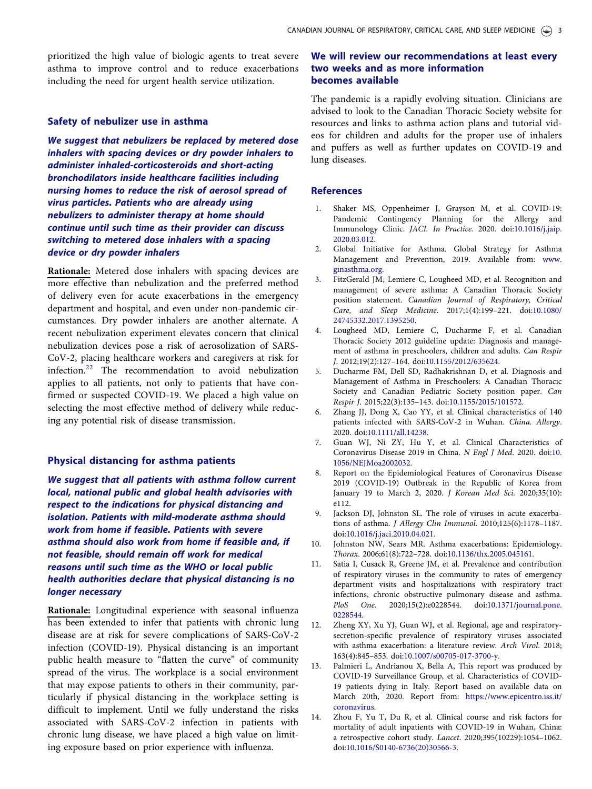<span id="page-2-0"></span>prioritized the high value of biologic agents to treat severe asthma to improve control and to reduce exacerbations including the need for urgent health service utilization.

#### Safety of nebulizer use in asthma

We suggest that nebulizers be replaced by metered dose inhalers with spacing devices or dry powder inhalers to administer inhaled-corticosteroids and short-acting bronchodilators inside healthcare facilities including nursing homes to reduce the risk of aerosol spread of virus particles. Patients who are already using nebulizers to administer therapy at home should continue until such time as their provider can discuss switching to metered dose inhalers with a spacing device or dry powder inhalers

Rationale: Metered dose inhalers with spacing devices are more effective than nebulization and the preferred method of delivery even for acute exacerbations in the emergency department and hospital, and even under non-pandemic circumstances. Dry powder inhalers are another alternate. A recent nebulization experiment elevates concern that clinical nebulization devices pose a risk of aerosolization of SARS-CoV-2, placing healthcare workers and caregivers at risk for infection[.22](#page-3-0) The recommendation to avoid nebulization applies to all patients, not only to patients that have confirmed or suspected COVID-19. We placed a high value on selecting the most effective method of delivery while reducing any potential risk of disease transmission.

#### Physical distancing for asthma patients

We suggest that all patients with asthma follow current local, national public and global health advisories with respect to the indications for physical distancing and isolation. Patients with mild-moderate asthma should work from home if feasible. Patients with severe asthma should also work from home if feasible and, if not feasible, should remain off work for medical reasons until such time as the WHO or local public health authorities declare that physical distancing is no longer necessary

Rationale: Longitudinal experience with seasonal influenza has been extended to infer that patients with chronic lung disease are at risk for severe complications of SARS-CoV-2 infection (COVID-19). Physical distancing is an important public health measure to "flatten the curve" of community spread of the virus. The workplace is a social environment that may expose patients to others in their community, particularly if physical distancing in the workplace setting is difficult to implement. Until we fully understand the risks associated with SARS-CoV-2 infection in patients with chronic lung disease, we have placed a high value on limiting exposure based on prior experience with influenza.

## We will review our recommendations at least every two weeks and as more information becomes available

The pandemic is a rapidly evolving situation. Clinicians are advised to look to the Canadian Thoracic Society website for resources and links to asthma action plans and tutorial videos for children and adults for the proper use of inhalers and puffers as well as further updates on COVID-19 and lung diseases.

#### **References**

- [1](#page-0-0). Shaker MS, Oppenheimer J, Grayson M, et al. COVID-19: Pandemic Contingency Planning for the Allergy and Immunology Clinic. JACI. In Practice. 2020. doi:[10.1016/j.jaip.](https://doi.org/10.1016/j.jaip.2020.03.012) [2020.03.012](https://doi.org/10.1016/j.jaip.2020.03.012).
- [2](#page-0-0). Global Initiative for Asthma. Global Strategy for Asthma Management and Prevention, 2019. Available from: [www.](http://www.ginasthma.org) [ginasthma.org](http://www.ginasthma.org).
- [3](#page-1-0). FitzGerald JM, Lemiere C, Lougheed MD, et al. Recognition and management of severe asthma: A Canadian Thoracic Society position statement. Canadian Journal of Respiratory, Critical Care, and Sleep Medicine. 2017;1(4):199–221. doi:[10.1080/](https://doi.org/10.1080/24745332.2017.1395250) [24745332.2017.1395250.](https://doi.org/10.1080/24745332.2017.1395250)
- [4](#page-1-0). Lougheed MD, Lemiere C, Ducharme F, et al. Canadian Thoracic Society 2012 guideline update: Diagnosis and management of asthma in preschoolers, children and adults. Can Respir J. 2012;19(2):127–164. doi:[10.1155/2012/635624.](https://doi.org/10.1155/2012/635624)
- 5. Ducharme FM, Dell SD, Radhakrishnan D, et al. Diagnosis and Management of Asthma in Preschoolers: A Canadian Thoracic Society and Canadian Pediatric Society position paper. Can Respir J. 2015;22(3):135–143. doi:[10.1155/2015/101572.](https://doi.org/10.1155/2015/101572)
- [6](#page-0-0). Zhang JJ, Dong X, Cao YY, et al. Clinical characteristics of 140 patients infected with SARS-CoV-2 in Wuhan. China. Allergy. 2020. doi:[10.1111/all.14238](https://doi.org/10.1111/all.14238).
- 7. Guan WJ, Ni ZY, Hu Y, et al. Clinical Characteristics of Coronavirus Disease 2019 in China. N Engl J Med. 2020. doi:[10.](https://doi.org/10.1056/NEJMoa2002032) [1056/NEJMoa2002032.](https://doi.org/10.1056/NEJMoa2002032)
- 8. Report on the Epidemiological Features of Coronavirus Disease 2019 (COVID-19) Outbreak in the Republic of Korea from January 19 to March 2, 2020. J Korean Med Sci. 2020;35(10): e112.
- [9](#page-0-0). Jackson DJ, Johnston SL. The role of viruses in acute exacerbations of asthma. J Allergy Clin Immunol. 2010;125(6):1178–1187. doi[:10.1016/j.jaci.2010.04.021](https://doi.org/10.1016/j.jaci.2010.04.021).
- [10](#page-0-0). Johnston NW, Sears MR. Asthma exacerbations: Epidemiology. Thorax. 2006;61(8):722–728. doi[:10.1136/thx.2005.045161](https://doi.org/10.1136/thx.2005.045161).
- [11](#page-0-0). Satia I, Cusack R, Greene JM, et al. Prevalence and contribution of respiratory viruses in the community to rates of emergency department visits and hospitalizations with respiratory tract infections, chronic obstructive pulmonary disease and asthma. PloS One. 2020;15(2):e0228544. doi:[10.1371/journal.pone.](https://doi.org/10.1371/journal.pone.0228544) [0228544](https://doi.org/10.1371/journal.pone.0228544).
- [12](#page-0-0). Zheng XY, Xu YJ, Guan WJ, et al. Regional, age and respiratorysecretion-specific prevalence of respiratory viruses associated with asthma exacerbation: a literature review. Arch Virol. 2018; 163(4):845–853. doi[:10.1007/s00705-017-3700-y.](https://doi.org/10.1007/s00705-017-3700-y)
- [13](#page-1-0). Palmieri L, Andrianou X, Bella A, This report was produced by COVID-19 Surveillance Group, et al. Characteristics of COVID-19 patients dying in Italy. Report based on available data on March 20th, 2020. Report from: [https://www.epicentro.iss.it/](https://www.epicentro.iss.it/coronavirus) [coronavirus](https://www.epicentro.iss.it/coronavirus).
- [14](#page-1-0). Zhou F, Yu T, Du R, et al. Clinical course and risk factors for mortality of adult inpatients with COVID-19 in Wuhan, China: a retrospective cohort study. Lancet. 2020;395(10229):1054–1062. doi[:10.1016/S0140-6736\(20\)30566-3.](https://doi.org/10.1016/S0140-6736(20)30566-3)